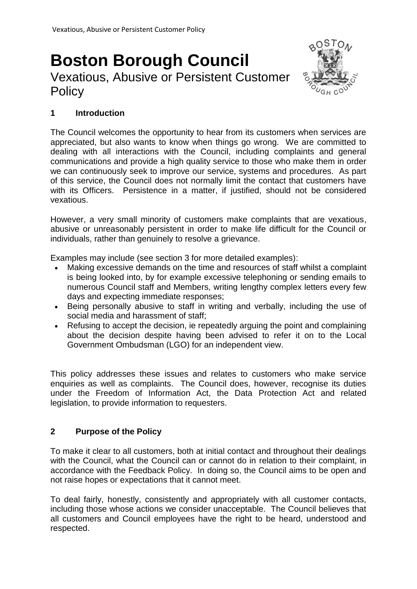# **Boston Borough Council**  Vexatious, Abusive or Persistent Customer **Policy**



## **1 Introduction**

The Council welcomes the opportunity to hear from its customers when services are appreciated, but also wants to know when things go wrong. We are committed to dealing with all interactions with the Council, including complaints and general communications and provide a high quality service to those who make them in order we can continuously seek to improve our service, systems and procedures. As part of this service, the Council does not normally limit the contact that customers have with its Officers. Persistence in a matter, if justified, should not be considered vexatious.

However, a very small minority of customers make complaints that are vexatious, abusive or unreasonably persistent in order to make life difficult for the Council or individuals, rather than genuinely to resolve a grievance.

Examples may include (see section 3 for more detailed examples):

- Making excessive demands on the time and resources of staff whilst a complaint is being looked into, by for example excessive telephoning or sending emails to numerous Council staff and Members, writing lengthy complex letters every few days and expecting immediate responses;
- Being personally abusive to staff in writing and verbally, including the use of social media and harassment of staff;
- Refusing to accept the decision, ie repeatedly arguing the point and complaining about the decision despite having been advised to refer it on to the Local Government Ombudsman (LGO) for an independent view.

This policy addresses these issues and relates to customers who make service enquiries as well as complaints. The Council does, however, recognise its duties under the Freedom of Information Act, the Data Protection Act and related legislation, to provide information to requesters.

## **2 Purpose of the Policy**

To make it clear to all customers, both at initial contact and throughout their dealings with the Council, what the Council can or cannot do in relation to their complaint, in accordance with the Feedback Policy. In doing so, the Council aims to be open and not raise hopes or expectations that it cannot meet.

To deal fairly, honestly, consistently and appropriately with all customer contacts, including those whose actions we consider unacceptable. The Council believes that all customers and Council employees have the right to be heard, understood and respected.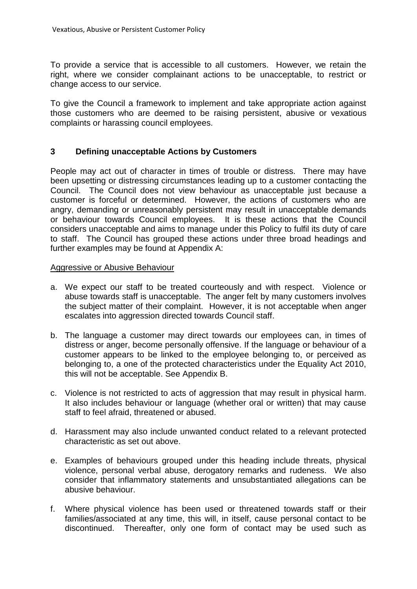To provide a service that is accessible to all customers. However, we retain the right, where we consider complainant actions to be unacceptable, to restrict or change access to our service.

To give the Council a framework to implement and take appropriate action against those customers who are deemed to be raising persistent, abusive or vexatious complaints or harassing council employees.

## **3 Defining unacceptable Actions by Customers**

People may act out of character in times of trouble or distress. There may have been upsetting or distressing circumstances leading up to a customer contacting the Council. The Council does not view behaviour as unacceptable just because a customer is forceful or determined. However, the actions of customers who are angry, demanding or unreasonably persistent may result in unacceptable demands or behaviour towards Council employees. It is these actions that the Council considers unacceptable and aims to manage under this Policy to fulfil its duty of care to staff. The Council has grouped these actions under three broad headings and further examples may be found at Appendix A:

#### Aggressive or Abusive Behaviour

- a. We expect our staff to be treated courteously and with respect. Violence or abuse towards staff is unacceptable. The anger felt by many customers involves the subject matter of their complaint. However, it is not acceptable when anger escalates into aggression directed towards Council staff.
- b. The language a customer may direct towards our employees can, in times of distress or anger, become personally offensive. If the language or behaviour of a customer appears to be linked to the employee belonging to, or perceived as belonging to, a one of the protected characteristics under the Equality Act 2010, this will not be acceptable. See Appendix B.
- c. Violence is not restricted to acts of aggression that may result in physical harm. It also includes behaviour or language (whether oral or written) that may cause staff to feel afraid, threatened or abused.
- d. Harassment may also include unwanted conduct related to a relevant protected characteristic as set out above.
- e. Examples of behaviours grouped under this heading include threats, physical violence, personal verbal abuse, derogatory remarks and rudeness. We also consider that inflammatory statements and unsubstantiated allegations can be abusive behaviour.
- f. Where physical violence has been used or threatened towards staff or their families/associated at any time, this will, in itself, cause personal contact to be discontinued. Thereafter, only one form of contact may be used such as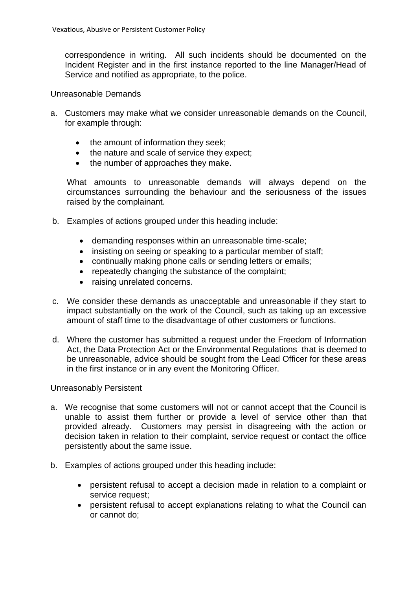correspondence in writing. All such incidents should be documented on the Incident Register and in the first instance reported to the line Manager/Head of Service and notified as appropriate, to the police.

## Unreasonable Demands

- a. Customers may make what we consider unreasonable demands on the Council, for example through:
	- the amount of information they seek;
	- the nature and scale of service they expect;
	- the number of approaches they make.

What amounts to unreasonable demands will always depend on the circumstances surrounding the behaviour and the seriousness of the issues raised by the complainant.

- b. Examples of actions grouped under this heading include:
	- demanding responses within an unreasonable time-scale;
	- insisting on seeing or speaking to a particular member of staff:
	- continually making phone calls or sending letters or emails;
	- repeatedly changing the substance of the complaint;
	- raising unrelated concerns.
- c. We consider these demands as unacceptable and unreasonable if they start to impact substantially on the work of the Council, such as taking up an excessive amount of staff time to the disadvantage of other customers or functions.
- d. Where the customer has submitted a request under the Freedom of Information Act, the Data Protection Act or the Environmental Regulations that is deemed to be unreasonable, advice should be sought from the Lead Officer for these areas in the first instance or in any event the Monitoring Officer.

## Unreasonably Persistent

- a. We recognise that some customers will not or cannot accept that the Council is unable to assist them further or provide a level of service other than that provided already. Customers may persist in disagreeing with the action or decision taken in relation to their complaint, service request or contact the office persistently about the same issue.
- b. Examples of actions grouped under this heading include:
	- persistent refusal to accept a decision made in relation to a complaint or service request;
	- persistent refusal to accept explanations relating to what the Council can or cannot do;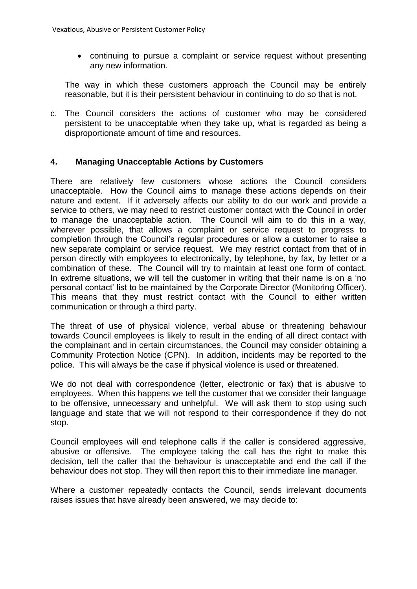continuing to pursue a complaint or service request without presenting any new information.

The way in which these customers approach the Council may be entirely reasonable, but it is their persistent behaviour in continuing to do so that is not.

c. The Council considers the actions of customer who may be considered persistent to be unacceptable when they take up, what is regarded as being a disproportionate amount of time and resources.

## **4. Managing Unacceptable Actions by Customers**

There are relatively few customers whose actions the Council considers unacceptable. How the Council aims to manage these actions depends on their nature and extent. If it adversely affects our ability to do our work and provide a service to others, we may need to restrict customer contact with the Council in order to manage the unacceptable action. The Council will aim to do this in a way, wherever possible, that allows a complaint or service request to progress to completion through the Council's regular procedures or allow a customer to raise a new separate complaint or service request. We may restrict contact from that of in person directly with employees to electronically, by telephone, by fax, by letter or a combination of these. The Council will try to maintain at least one form of contact. In extreme situations, we will tell the customer in writing that their name is on a 'no personal contact' list to be maintained by the Corporate Director (Monitoring Officer). This means that they must restrict contact with the Council to either written communication or through a third party.

The threat of use of physical violence, verbal abuse or threatening behaviour towards Council employees is likely to result in the ending of all direct contact with the complainant and in certain circumstances, the Council may consider obtaining a Community Protection Notice (CPN). In addition, incidents may be reported to the police. This will always be the case if physical violence is used or threatened.

We do not deal with correspondence (letter, electronic or fax) that is abusive to employees. When this happens we tell the customer that we consider their language to be offensive, unnecessary and unhelpful. We will ask them to stop using such language and state that we will not respond to their correspondence if they do not stop.

Council employees will end telephone calls if the caller is considered aggressive, abusive or offensive. The employee taking the call has the right to make this decision, tell the caller that the behaviour is unacceptable and end the call if the behaviour does not stop. They will then report this to their immediate line manager.

Where a customer repeatedly contacts the Council, sends irrelevant documents raises issues that have already been answered, we may decide to: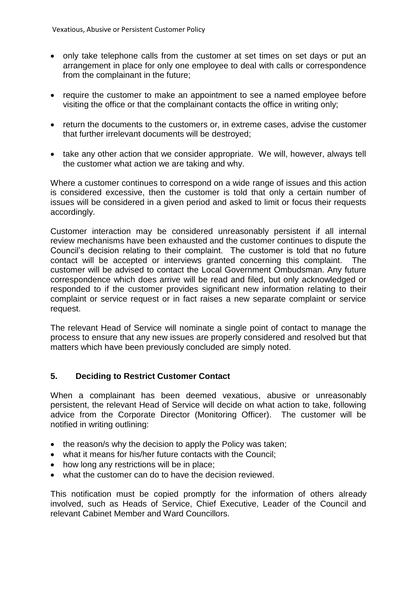- only take telephone calls from the customer at set times on set days or put an arrangement in place for only one employee to deal with calls or correspondence from the complainant in the future;
- require the customer to make an appointment to see a named employee before visiting the office or that the complainant contacts the office in writing only;
- return the documents to the customers or, in extreme cases, advise the customer that further irrelevant documents will be destroyed;
- take any other action that we consider appropriate. We will, however, always tell the customer what action we are taking and why.

Where a customer continues to correspond on a wide range of issues and this action is considered excessive, then the customer is told that only a certain number of issues will be considered in a given period and asked to limit or focus their requests accordingly.

Customer interaction may be considered unreasonably persistent if all internal review mechanisms have been exhausted and the customer continues to dispute the Council's decision relating to their complaint. The customer is told that no future contact will be accepted or interviews granted concerning this complaint. The customer will be advised to contact the Local Government Ombudsman. Any future correspondence which does arrive will be read and filed, but only acknowledged or responded to if the customer provides significant new information relating to their complaint or service request or in fact raises a new separate complaint or service request.

The relevant Head of Service will nominate a single point of contact to manage the process to ensure that any new issues are properly considered and resolved but that matters which have been previously concluded are simply noted.

# **5. Deciding to Restrict Customer Contact**

When a complainant has been deemed vexatious, abusive or unreasonably persistent, the relevant Head of Service will decide on what action to take, following advice from the Corporate Director (Monitoring Officer). The customer will be notified in writing outlining:

- the reason/s why the decision to apply the Policy was taken;
- what it means for his/her future contacts with the Council;
- how long any restrictions will be in place;
- what the customer can do to have the decision reviewed.

This notification must be copied promptly for the information of others already involved, such as Heads of Service, Chief Executive, Leader of the Council and relevant Cabinet Member and Ward Councillors.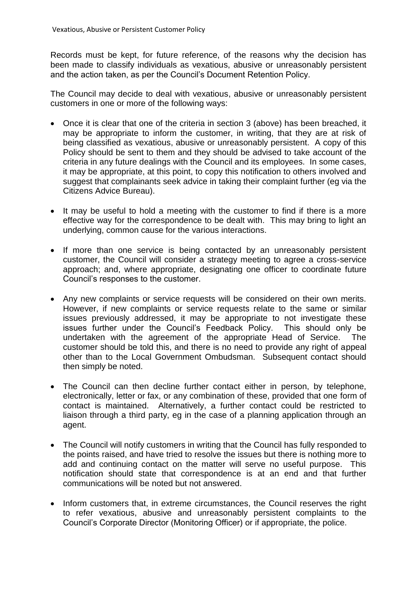Records must be kept, for future reference, of the reasons why the decision has been made to classify individuals as vexatious, abusive or unreasonably persistent and the action taken, as per the Council's Document Retention Policy.

The Council may decide to deal with vexatious, abusive or unreasonably persistent customers in one or more of the following ways:

- Once it is clear that one of the criteria in section 3 (above) has been breached, it may be appropriate to inform the customer, in writing, that they are at risk of being classified as vexatious, abusive or unreasonably persistent. A copy of this Policy should be sent to them and they should be advised to take account of the criteria in any future dealings with the Council and its employees. In some cases, it may be appropriate, at this point, to copy this notification to others involved and suggest that complainants seek advice in taking their complaint further (eg via the Citizens Advice Bureau).
- It may be useful to hold a meeting with the customer to find if there is a more effective way for the correspondence to be dealt with. This may bring to light an underlying, common cause for the various interactions.
- If more than one service is being contacted by an unreasonably persistent customer, the Council will consider a strategy meeting to agree a cross-service approach; and, where appropriate, designating one officer to coordinate future Council's responses to the customer.
- Any new complaints or service requests will be considered on their own merits. However, if new complaints or service requests relate to the same or similar issues previously addressed, it may be appropriate to not investigate these issues further under the Council's Feedback Policy. This should only be undertaken with the agreement of the appropriate Head of Service. The customer should be told this, and there is no need to provide any right of appeal other than to the Local Government Ombudsman. Subsequent contact should then simply be noted.
- The Council can then decline further contact either in person, by telephone, electronically, letter or fax, or any combination of these, provided that one form of contact is maintained. Alternatively, a further contact could be restricted to liaison through a third party, eg in the case of a planning application through an agent.
- The Council will notify customers in writing that the Council has fully responded to the points raised, and have tried to resolve the issues but there is nothing more to add and continuing contact on the matter will serve no useful purpose. This notification should state that correspondence is at an end and that further communications will be noted but not answered.
- Inform customers that, in extreme circumstances, the Council reserves the right to refer vexatious, abusive and unreasonably persistent complaints to the Council's Corporate Director (Monitoring Officer) or if appropriate, the police.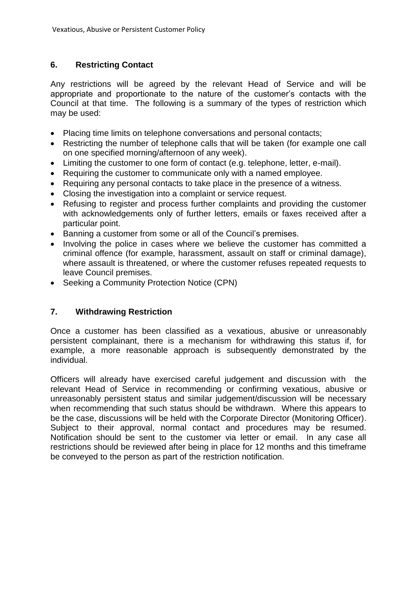## **6. Restricting Contact**

Any restrictions will be agreed by the relevant Head of Service and will be appropriate and proportionate to the nature of the customer's contacts with the Council at that time. The following is a summary of the types of restriction which may be used:

- Placing time limits on telephone conversations and personal contacts;
- Restricting the number of telephone calls that will be taken (for example one call on one specified morning/afternoon of any week).
- Limiting the customer to one form of contact (e.g. telephone, letter, e-mail).
- Requiring the customer to communicate only with a named employee.
- Requiring any personal contacts to take place in the presence of a witness.
- Closing the investigation into a complaint or service request.
- Refusing to register and process further complaints and providing the customer with acknowledgements only of further letters, emails or faxes received after a particular point.
- Banning a customer from some or all of the Council's premises.
- Involving the police in cases where we believe the customer has committed a criminal offence (for example, harassment, assault on staff or criminal damage), where assault is threatened, or where the customer refuses repeated requests to leave Council premises.
- Seeking a Community Protection Notice (CPN)

## **7. Withdrawing Restriction**

Once a customer has been classified as a vexatious, abusive or unreasonably persistent complainant, there is a mechanism for withdrawing this status if, for example, a more reasonable approach is subsequently demonstrated by the individual.

Officers will already have exercised careful judgement and discussion with the relevant Head of Service in recommending or confirming vexatious, abusive or unreasonably persistent status and similar judgement/discussion will be necessary when recommending that such status should be withdrawn. Where this appears to be the case, discussions will be held with the Corporate Director (Monitoring Officer). Subject to their approval, normal contact and procedures may be resumed. Notification should be sent to the customer via letter or email. In any case all restrictions should be reviewed after being in place for 12 months and this timeframe be conveyed to the person as part of the restriction notification.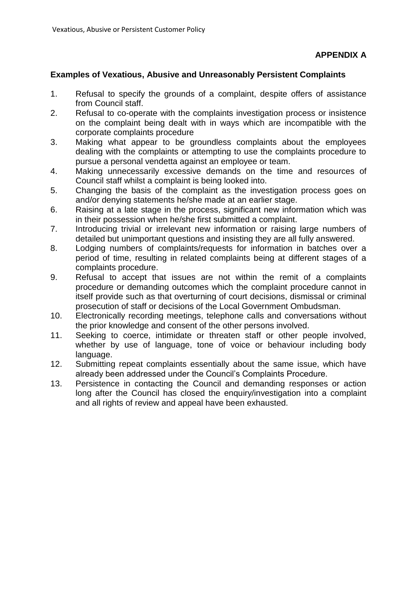#### **Examples of Vexatious, Abusive and Unreasonably Persistent Complaints**

- 1. Refusal to specify the grounds of a complaint, despite offers of assistance from Council staff.
- 2. Refusal to co-operate with the complaints investigation process or insistence on the complaint being dealt with in ways which are incompatible with the corporate complaints procedure
- 3. Making what appear to be groundless complaints about the employees dealing with the complaints or attempting to use the complaints procedure to pursue a personal vendetta against an employee or team.
- 4. Making unnecessarily excessive demands on the time and resources of Council staff whilst a complaint is being looked into.
- 5. Changing the basis of the complaint as the investigation process goes on and/or denying statements he/she made at an earlier stage.
- 6. Raising at a late stage in the process, significant new information which was in their possession when he/she first submitted a complaint.
- 7. Introducing trivial or irrelevant new information or raising large numbers of detailed but unimportant questions and insisting they are all fully answered.
- 8. Lodging numbers of complaints/requests for information in batches over a period of time, resulting in related complaints being at different stages of a complaints procedure.
- 9. Refusal to accept that issues are not within the remit of a complaints procedure or demanding outcomes which the complaint procedure cannot in itself provide such as that overturning of court decisions, dismissal or criminal prosecution of staff or decisions of the Local Government Ombudsman.
- 10. Electronically recording meetings, telephone calls and conversations without the prior knowledge and consent of the other persons involved.
- 11. Seeking to coerce, intimidate or threaten staff or other people involved, whether by use of language, tone of voice or behaviour including body language.
- 12. Submitting repeat complaints essentially about the same issue, which have already been addressed under the Council's Complaints Procedure.
- 13. Persistence in contacting the Council and demanding responses or action long after the Council has closed the enquiry/investigation into a complaint and all rights of review and appeal have been exhausted.